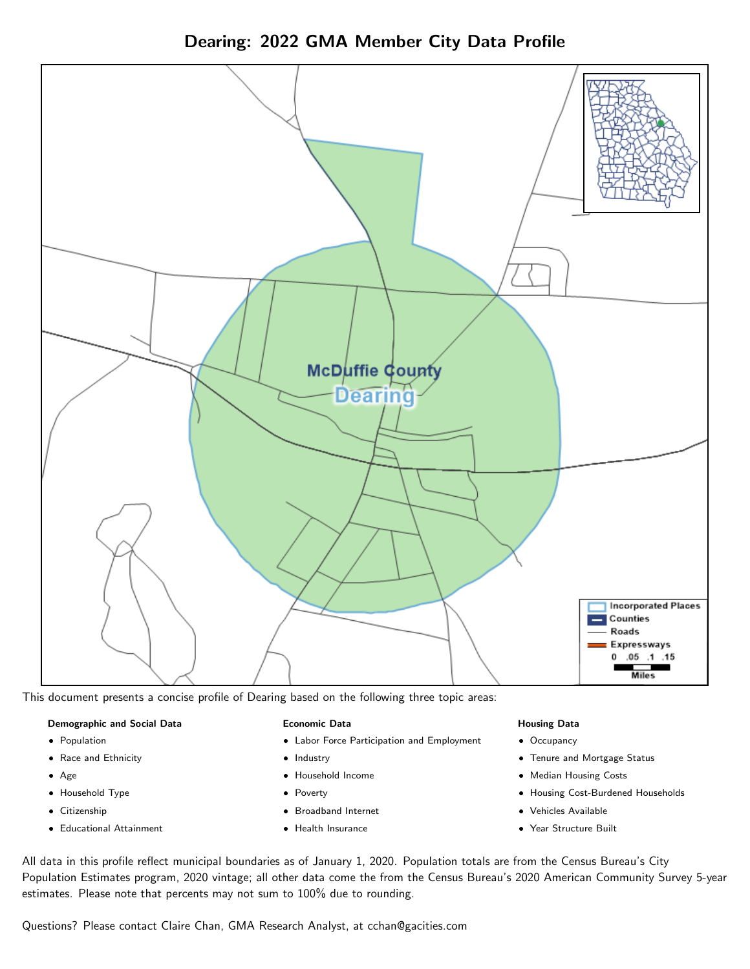Dearing: 2022 GMA Member City Data Profile



This document presents a concise profile of Dearing based on the following three topic areas:

### Demographic and Social Data

- **•** Population
- Race and Ethnicity
- Age
- Household Type
- **Citizenship**
- Educational Attainment

### Economic Data

- Labor Force Participation and Employment
- Industry
- Household Income
- Poverty
- Broadband Internet
- Health Insurance

### Housing Data

- Occupancy
- Tenure and Mortgage Status
- Median Housing Costs
- Housing Cost-Burdened Households
- Vehicles Available
- Year Structure Built

All data in this profile reflect municipal boundaries as of January 1, 2020. Population totals are from the Census Bureau's City Population Estimates program, 2020 vintage; all other data come the from the Census Bureau's 2020 American Community Survey 5-year estimates. Please note that percents may not sum to 100% due to rounding.

Questions? Please contact Claire Chan, GMA Research Analyst, at [cchan@gacities.com.](mailto:cchan@gacities.com)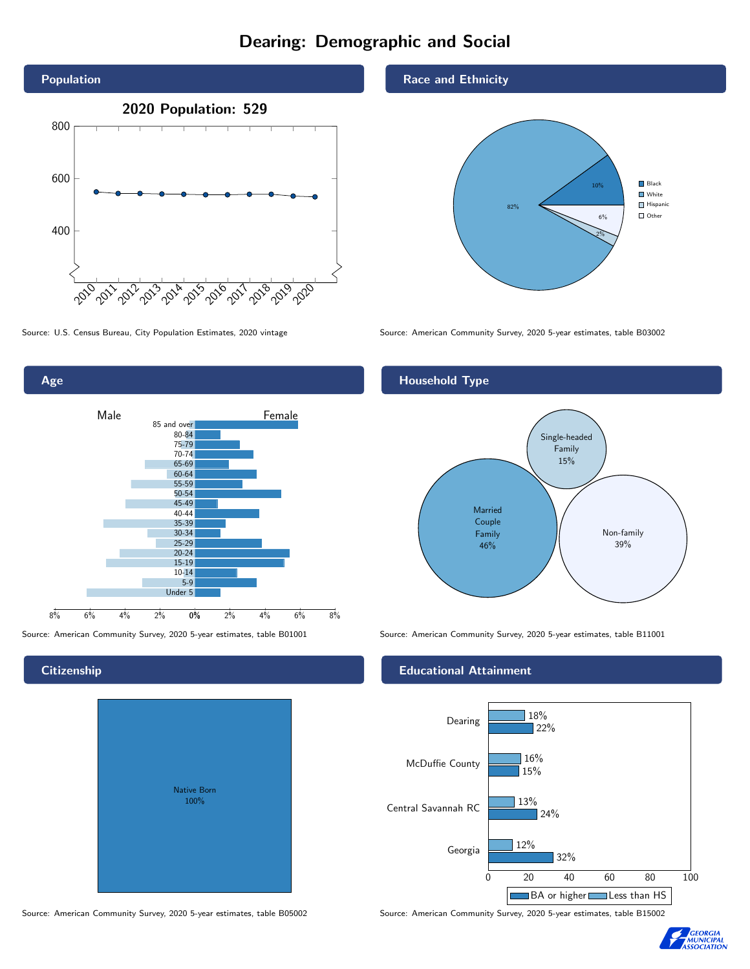# Dearing: Demographic and Social





## **Citizenship**

Age

| <b>Native Born</b><br>100% |  |
|----------------------------|--|
|                            |  |

Race and Ethnicity



Source: U.S. Census Bureau, City Population Estimates, 2020 vintage Source: American Community Survey, 2020 5-year estimates, table B03002

# Household Type



Source: American Community Survey, 2020 5-year estimates, table B01001 Source: American Community Survey, 2020 5-year estimates, table B11001

## Educational Attainment



Source: American Community Survey, 2020 5-year estimates, table B05002 Source: American Community Survey, 2020 5-year estimates, table B15002

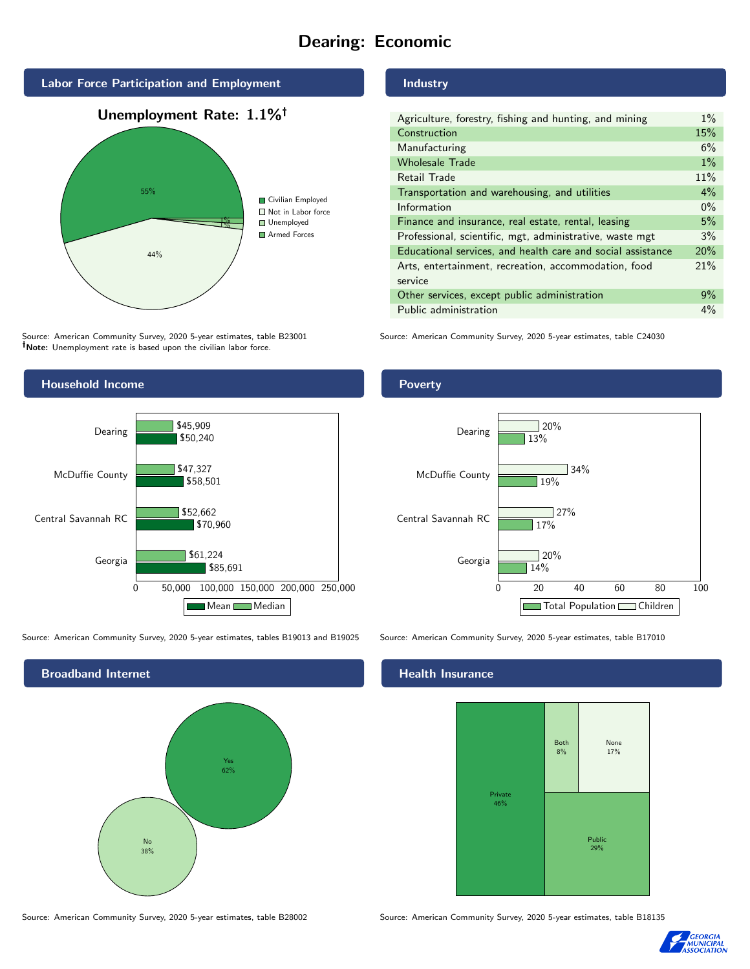# Dearing: Economic



Source: American Community Survey, 2020 5-year estimates, table B23001 Note: Unemployment rate is based upon the civilian labor force.

## Household Income 0 50,000 100,000 150,000 200,000 250,000 Georgia Central Savannah RC McDuffie County Dearing \$85,691 \$70,960 \$58,501 \$50,240 \$61,224 \$52,662 \$47,327 \$45,909 Mean Median

Source: American Community Survey, 2020 5-year estimates, tables B19013 and B19025 Source: American Community Survey, 2020 5-year estimates, table B17010

Broadband Internet No 38% Yes 62%

Source: American Community Survey, 2020 5-year estimates, table B28002 Source: American Community Survey, 2020 5-year estimates, table B18135

Industry

| Agriculture, forestry, fishing and hunting, and mining      | $1\%$ |
|-------------------------------------------------------------|-------|
| Construction                                                | 15%   |
| Manufacturing                                               | 6%    |
| <b>Wholesale Trade</b>                                      | $1\%$ |
| Retail Trade                                                | 11%   |
| Transportation and warehousing, and utilities               |       |
| Information                                                 |       |
| Finance and insurance, real estate, rental, leasing         |       |
| Professional, scientific, mgt, administrative, waste mgt    |       |
| Educational services, and health care and social assistance |       |
| Arts, entertainment, recreation, accommodation, food        |       |
| service                                                     |       |
| Other services, except public administration                |       |
| Public administration                                       |       |

Source: American Community Survey, 2020 5-year estimates, table C24030

## **Poverty**



### Health Insurance